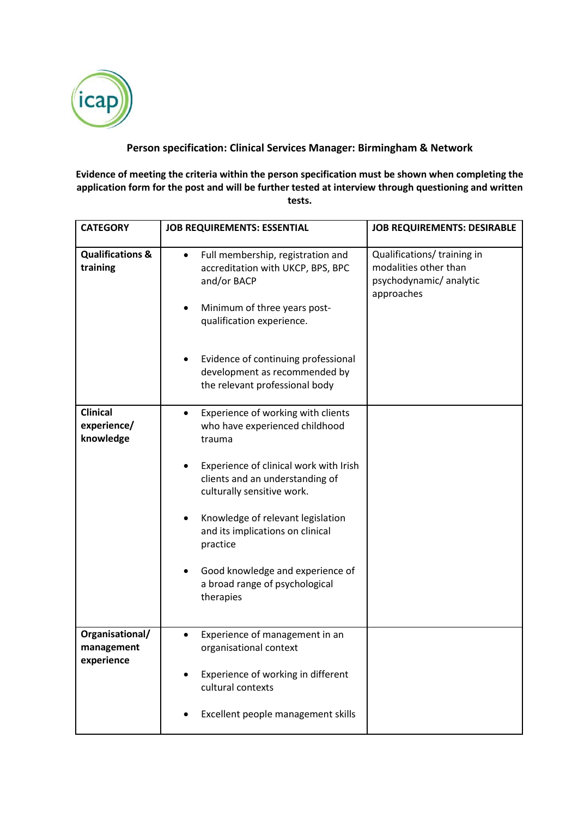

## **Person specification: Clinical Services Manager: Birmingham & Network**

**Evidence of meeting the criteria within the person specification must be shown when completing the application form for the post and will be further tested at interview through questioning and written tests.** 

| <b>CATEGORY</b>                             | <b>JOB REQUIREMENTS: ESSENTIAL</b>                                                                                                                                           | <b>JOB REQUIREMENTS: DESIRABLE</b>                                                           |
|---------------------------------------------|------------------------------------------------------------------------------------------------------------------------------------------------------------------------------|----------------------------------------------------------------------------------------------|
| <b>Qualifications &amp;</b><br>training     | Full membership, registration and<br>$\bullet$<br>accreditation with UKCP, BPS, BPC<br>and/or BACP<br>Minimum of three years post-<br>$\bullet$<br>qualification experience. | Qualifications/ training in<br>modalities other than<br>psychodynamic/analytic<br>approaches |
|                                             | Evidence of continuing professional<br>development as recommended by<br>the relevant professional body                                                                       |                                                                                              |
| <b>Clinical</b><br>experience/<br>knowledge | Experience of working with clients<br>٠<br>who have experienced childhood<br>trauma                                                                                          |                                                                                              |
|                                             | Experience of clinical work with Irish<br>clients and an understanding of<br>culturally sensitive work.                                                                      |                                                                                              |
|                                             | Knowledge of relevant legislation<br>and its implications on clinical<br>practice                                                                                            |                                                                                              |
|                                             | Good knowledge and experience of<br>$\bullet$<br>a broad range of psychological<br>therapies                                                                                 |                                                                                              |
| Organisational/<br>management               | Experience of management in an<br>$\bullet$<br>organisational context                                                                                                        |                                                                                              |
| experience                                  | Experience of working in different                                                                                                                                           |                                                                                              |
|                                             | cultural contexts                                                                                                                                                            |                                                                                              |
|                                             | Excellent people management skills                                                                                                                                           |                                                                                              |